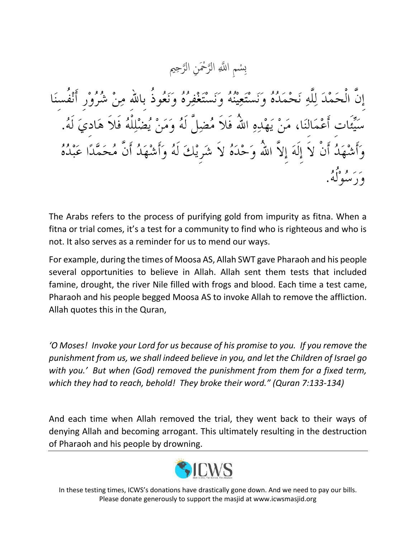سْمِ اللَّهِ الرَّحْمَنِ الرَّحِيم ته<br>ل ت<br>لا  $\overline{\mathbf{C}}$ ِب

إِنَّ الْحَمْدَ لِلَّهِ نَحْمَدُهُ وَنَسْتَعِينُهُ وَنَسْتَغْفِرُهُ وَنَعُوذُ بِاللهِ مِنْ شُرُوْرٍ أَنْفُسنَا ت أَعْمَالنَا، مَنْ يَهْدِهِ اللَّهُ فَلاَ مُضِلَّ لَهُ وَمَنْ يُضْلِلْهُ فَلاَ هَاديَ لَهُ. جَدُ أَنْ لاَ إِلَهَ إِلاَّ اللهُ وَحْدَهُ لاَ شَرِيْكَ لَهُ وَأَشْهَدُ أَنَّ مُحَمَّدًا عَبْدُهُ ے پر اور دی۔<br>و د سبولګي

The Arabs refers to the process of purifying gold from impurity as fitna. When a fitna or trial comes, it's a test for a community to find who is righteous and who is not. It also serves as a reminder for us to mend our ways.

For example, during the times of Moosa AS, Allah SWT gave Pharaoh and his people several opportunities to believe in Allah. Allah sent them tests that included famine, drought, the river Nile filled with frogs and blood. Each time a test came, Pharaoh and his people begged Moosa AS to invoke Allah to remove the affliction. Allah quotes this in the Quran,

*'O Moses! Invoke your Lord for us because of his promise to you. If you remove the punishment from us, we shall indeed believe in you, and let the Children of Israel go with you.' But when (God) removed the punishment from them for a fixed term, which they had to reach, behold! They broke their word." (Quran 7:133-134)*

And each time when Allah removed the trial, they went back to their ways of denying Allah and becoming arrogant. This ultimately resulting in the destruction of Pharaoh and his people by drowning.



In these testing times, ICWS's donations have drastically gone down. And we need to pay our bills. Please donate generously to support the masjid at www.icwsmasjid.org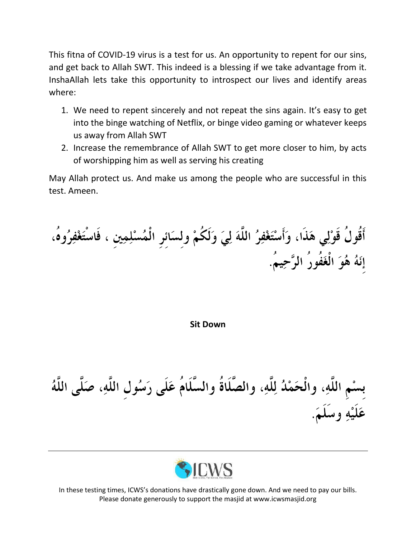This fitna of COVID-19 virus is a test for us. An opportunity to repent for our sins, and get back to Allah SWT. This indeed is a blessing if we take advantage from it. InshaAllah lets take this opportunity to introspect our lives and identify areas where:

- 1. We need to repent sincerely and not repeat the sins again. It's easy to get into the binge watching of Netflix, or binge video gaming or whatever keeps us away from Allah SWT
- 2. Increase the remembrance of Allah SWT to get more closer to him, by acts of worshipping him as well as serving his creating

May Allah protect us. And make us among the people who are successful in this test. Ameen.

أَقُولُ قَوْلِي هَذَا، وَأَسْتَغْفِرُ اللَّهَ لِيَ وَلَكُمْ ولسَائرِ الْمُسْلِمِينِ ، فَاسْتَغْفِرُوهُ، إِنَهُ هُوَ الْغَفُورُ الرَّحِيمُ.

**Sit Down**

بِسْمِ اللَّهِ، والْحَمْدُ لِلَّهِ، والصَّلَاةُ والسَّلَامُ عَلَى رَسُولِ اللَّهِ، صَلَّى اللَّهُ عَلَيْهِ وسَلَمَ.



In these testing times, ICWS's donations have drastically gone down. And we need to pay our bills. Please donate generously to support the masjid at www.icwsmasjid.org